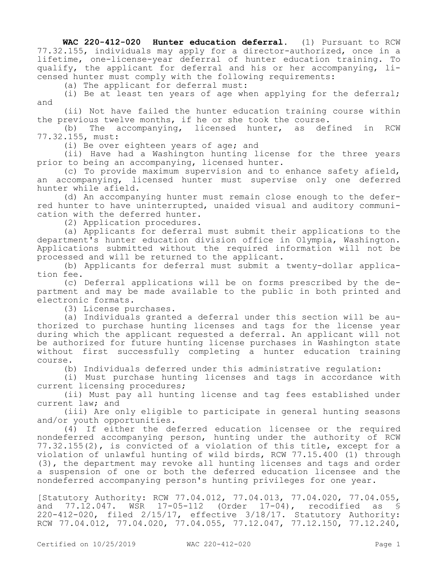**WAC 220-412-020 Hunter education deferral.** (1) Pursuant to RCW 77.32.155, individuals may apply for a director-authorized, once in a lifetime, one-license-year deferral of hunter education training. To qualify, the applicant for deferral and his or her accompanying, licensed hunter must comply with the following requirements:

(a) The applicant for deferral must:

(i) Be at least ten years of age when applying for the deferral; and

(ii) Not have failed the hunter education training course within the previous twelve months, if he or she took the course.

(b) The accompanying, licensed hunter, as defined in RCW 77.32.155, must:

(i) Be over eighteen years of age; and

(ii) Have had a Washington hunting license for the three years prior to being an accompanying, licensed hunter.

(c) To provide maximum supervision and to enhance safety afield, an accompanying, licensed hunter must supervise only one deferred hunter while afield.

(d) An accompanying hunter must remain close enough to the deferred hunter to have uninterrupted, unaided visual and auditory communication with the deferred hunter.

(2) Application procedures.

(a) Applicants for deferral must submit their applications to the department's hunter education division office in Olympia, Washington. Applications submitted without the required information will not be processed and will be returned to the applicant.

(b) Applicants for deferral must submit a twenty-dollar application fee.

(c) Deferral applications will be on forms prescribed by the department and may be made available to the public in both printed and electronic formats.

(3) License purchases.

(a) Individuals granted a deferral under this section will be authorized to purchase hunting licenses and tags for the license year during which the applicant requested a deferral. An applicant will not be authorized for future hunting license purchases in Washington state without first successfully completing a hunter education training course.

(b) Individuals deferred under this administrative regulation:

(i) Must purchase hunting licenses and tags in accordance with current licensing procedures;

(ii) Must pay all hunting license and tag fees established under current law; and

(iii) Are only eligible to participate in general hunting seasons and/or youth opportunities.

(4) If either the deferred education licensee or the required nondeferred accompanying person, hunting under the authority of RCW 77.32.155(2), is convicted of a violation of this title, except for a violation of unlawful hunting of wild birds, RCW 77.15.400 (1) through (3), the department may revoke all hunting licenses and tags and order a suspension of one or both the deferred education licensee and the nondeferred accompanying person's hunting privileges for one year.

[Statutory Authority: RCW 77.04.012, 77.04.013, 77.04.020, 77.04.055, and 77.12.047. WSR 17-05-112 (Order 17-04), recodified as § 220-412-020, filed 2/15/17, effective 3/18/17. Statutory Authority: RCW 77.04.012, 77.04.020, 77.04.055, 77.12.047, 77.12.150, 77.12.240,